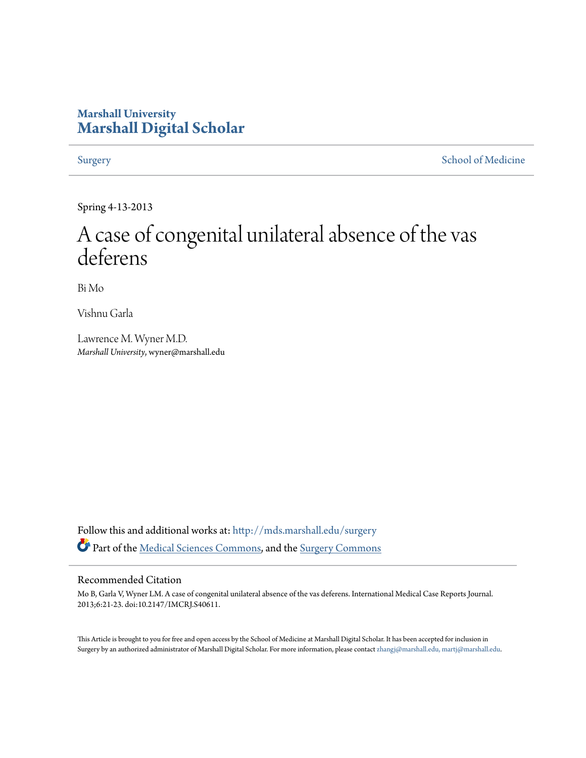# **Marshall University [Marshall Digital Scholar](http://mds.marshall.edu?utm_source=mds.marshall.edu%2Fsurgery%2F5&utm_medium=PDF&utm_campaign=PDFCoverPages)**

[Surgery](http://mds.marshall.edu/surgery?utm_source=mds.marshall.edu%2Fsurgery%2F5&utm_medium=PDF&utm_campaign=PDFCoverPages) [School of Medicine](http://mds.marshall.edu/sm?utm_source=mds.marshall.edu%2Fsurgery%2F5&utm_medium=PDF&utm_campaign=PDFCoverPages)

Spring 4-13-2013

# A case of congenital unilateral absence of the vas deferens

Bi Mo

Vishnu Garla

Lawrence M. Wyner M.D. *Marshall University*, wyner@marshall.edu

Follow this and additional works at: [http://mds.marshall.edu/surgery](http://mds.marshall.edu/surgery?utm_source=mds.marshall.edu%2Fsurgery%2F5&utm_medium=PDF&utm_campaign=PDFCoverPages) Part of the [Medical Sciences Commons,](http://network.bepress.com/hgg/discipline/664?utm_source=mds.marshall.edu%2Fsurgery%2F5&utm_medium=PDF&utm_campaign=PDFCoverPages) and the [Surgery Commons](http://network.bepress.com/hgg/discipline/706?utm_source=mds.marshall.edu%2Fsurgery%2F5&utm_medium=PDF&utm_campaign=PDFCoverPages)

#### Recommended Citation

Mo B, Garla V, Wyner LM. A case of congenital unilateral absence of the vas deferens. International Medical Case Reports Journal. 2013;6:21-23. doi:10.2147/IMCRJ.S40611.

This Article is brought to you for free and open access by the School of Medicine at Marshall Digital Scholar. It has been accepted for inclusion in Surgery by an authorized administrator of Marshall Digital Scholar. For more information, please contact [zhangj@marshall.edu, martj@marshall.edu.](mailto:zhangj@marshall.edu,%20martj@marshall.edu)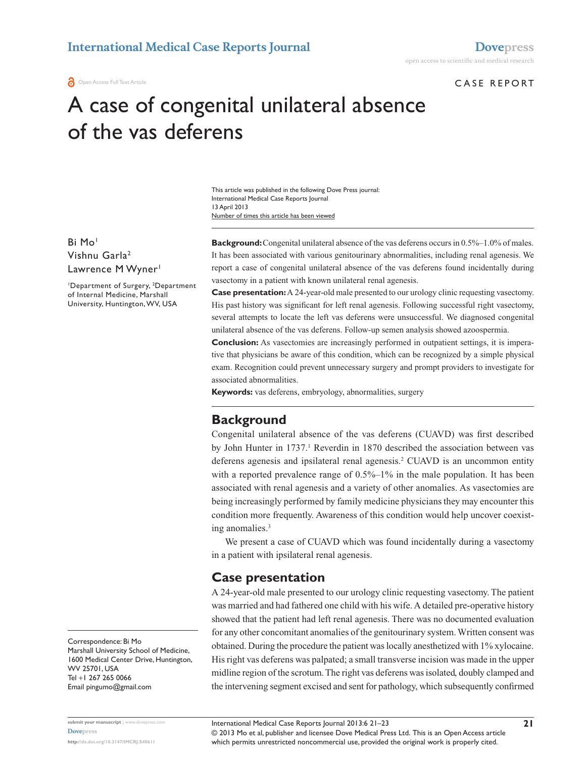#### CASE REPORT

# A case of congenital unilateral absence of the vas deferens

Number of times this article has been viewed This article was published in the following Dove Press journal: International Medical Case Reports Journal 13 April 2013

Bi Mo<sup>1</sup> Vishnu Garla2 Lawrence M Wyner<sup>1</sup>

<sup>1</sup>Department of Surgery, <sup>2</sup>Department of Internal Medicine, Marshall University, Huntington, WV, USA

**Background:** Congenital unilateral absence of the vas deferens occurs in 0.5%–1.0% of males. It has been associated with various genitourinary abnormalities, including renal agenesis. We report a case of congenital unilateral absence of the vas deferens found incidentally during vasectomy in a patient with known unilateral renal agenesis.

**Case presentation:** A 24-year-old male presented to our urology clinic requesting vasectomy. His past history was significant for left renal agenesis. Following successful right vasectomy, several attempts to locate the left vas deferens were unsuccessful. We diagnosed congenital unilateral absence of the vas deferens. Follow-up semen analysis showed azoospermia.

**Conclusion:** As vasectomies are increasingly performed in outpatient settings, it is imperative that physicians be aware of this condition, which can be recognized by a simple physical exam. Recognition could prevent unnecessary surgery and prompt providers to investigate for associated abnormalities.

**Keywords:** vas deferens, embryology, abnormalities, surgery

## **Background**

Congenital unilateral absence of the vas deferens (CUAVD) was first described by John Hunter in 1737.<sup>1</sup> Reverdin in 1870 described the association between vas deferens agenesis and ipsilateral renal agenesis.2 CUAVD is an uncommon entity with a reported prevalence range of  $0.5\%$ –1% in the male population. It has been associated with renal agenesis and a variety of other anomalies. As vasectomies are being increasingly performed by family medicine physicians they may encounter this condition more frequently. Awareness of this condition would help uncover coexisting anomalies.3

We present a case of CUAVD which was found incidentally during a vasectomy in a patient with ipsilateral renal agenesis.

### **Case presentation**

A 24-year-old male presented to our urology clinic requesting vasectomy. The patient was married and had fathered one child with his wife. A detailed pre-operative history showed that the patient had left renal agenesis. There was no documented evaluation for any other concomitant anomalies of the genitourinary system. Written consent was obtained. During the procedure the patient was locally anesthetized with 1% xylocaine. His right vas deferens was palpated; a small transverse incision was made in the upper midline region of the scrotum. The right vas deferens was isolated, doubly clamped and the intervening segment excised and sent for pathology, which subsequently confirmed

Correspondence: Bi Mo Marshall University School of Medicine, 1600 Medical Center Drive, Huntington, WV 25701, USA Tel +1 267 265 0066 Email [pingumo@gmail.com](mailto:pingumo@gmail.com)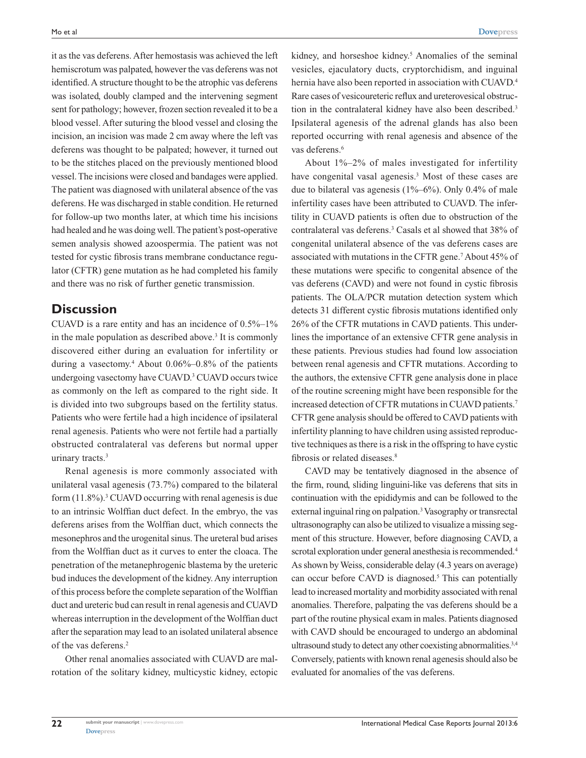it as the vas deferens. After hemostasis was achieved the left hemiscrotum was palpated, however the vas deferens was not identified. A structure thought to be the atrophic vas deferens was isolated, doubly clamped and the intervening segment sent for pathology; however, frozen section revealed it to be a blood vessel. After suturing the blood vessel and closing the incision, an incision was made 2 cm away where the left vas deferens was thought to be palpated; however, it turned out to be the stitches placed on the previously mentioned blood vessel. The incisions were closed and bandages were applied. The patient was diagnosed with unilateral absence of the vas deferens. He was discharged in stable condition. He returned for follow-up two months later, at which time his incisions had healed and he was doing well. The patient's post-operative semen analysis showed azoospermia. The patient was not tested for cystic fibrosis trans membrane conductance regulator (CFTR) gene mutation as he had completed his family and there was no risk of further genetic transmission.

## **Discussion**

CUAVD is a rare entity and has an incidence of 0.5%–1% in the male population as described above.<sup>3</sup> It is commonly discovered either during an evaluation for infertility or during a vasectomy.4 About 0.06%–0.8% of the patients undergoing vasectomy have CUAVD.<sup>3</sup> CUAVD occurs twice as commonly on the left as compared to the right side. It is divided into two subgroups based on the fertility status. Patients who were fertile had a high incidence of ipsilateral renal agenesis. Patients who were not fertile had a partially obstructed contralateral vas deferens but normal upper urinary tracts.<sup>3</sup>

Renal agenesis is more commonly associated with unilateral vasal agenesis (73.7%) compared to the bilateral form  $(11.8\%)$ .<sup>3</sup> CUAVD occurring with renal agenesis is due to an intrinsic Wolffian duct defect. In the embryo, the vas deferens arises from the Wolffian duct, which connects the mesonephros and the urogenital sinus. The ureteral bud arises from the Wolffian duct as it curves to enter the cloaca. The penetration of the metanephrogenic blastema by the ureteric bud induces the development of the kidney. Any interruption of this process before the complete separation of the Wolffian duct and ureteric bud can result in renal agenesis and CUAVD whereas interruption in the development of the Wolffian duct after the separation may lead to an isolated unilateral absence of the vas deferens.2

Other renal anomalies associated with CUAVD are malrotation of the solitary kidney, multicystic kidney, ectopic

kidney, and horseshoe kidney.<sup>5</sup> Anomalies of the seminal vesicles, ejaculatory ducts, cryptorchidism, and inguinal hernia have also been reported in association with CUAVD.<sup>4</sup> Rare cases of vesicoureteric reflux and ureterovesical obstruction in the contralateral kidney have also been described.<sup>3</sup> Ipsilateral agenesis of the adrenal glands has also been reported occurring with renal agenesis and absence of the vas deferens.<sup>6</sup>

About 1%–2% of males investigated for infertility have congenital vasal agenesis.<sup>3</sup> Most of these cases are due to bilateral vas agenesis (1%–6%). Only 0.4% of male infertility cases have been attributed to CUAVD. The infertility in CUAVD patients is often due to obstruction of the contralateral vas deferens.3 Casals et al showed that 38% of congenital unilateral absence of the vas deferens cases are associated with mutations in the CFTR gene.<sup>7</sup> About 45% of these mutations were specific to congenital absence of the vas deferens (CAVD) and were not found in cystic fibrosis patients. The OLA/PCR mutation detection system which detects 31 different cystic fibrosis mutations identified only 26% of the CFTR mutations in CAVD patients. This underlines the importance of an extensive CFTR gene analysis in these patients. Previous studies had found low association between renal agenesis and CFTR mutations. According to the authors, the extensive CFTR gene analysis done in place of the routine screening might have been responsible for the increased detection of CFTR mutations in CUAVD patients.7 CFTR gene analysis should be offered to CAVD patients with infertility planning to have children using assisted reproductive techniques as there is a risk in the offspring to have cystic fibrosis or related diseases.<sup>8</sup>

CAVD may be tentatively diagnosed in the absence of the firm, round, sliding linguini-like vas deferens that sits in continuation with the epididymis and can be followed to the external inguinal ring on palpation.<sup>3</sup> Vasography or transrectal ultrasonography can also be utilized to visualize a missing segment of this structure. However, before diagnosing CAVD, a scrotal exploration under general anesthesia is recommended.<sup>4</sup> As shown by Weiss, considerable delay (4.3 years on average) can occur before CAVD is diagnosed.<sup>5</sup> This can potentially lead to increased mortality and morbidity associated with renal anomalies. Therefore, palpating the vas deferens should be a part of the routine physical exam in males. Patients diagnosed with CAVD should be encouraged to undergo an abdominal ultrasound study to detect any other coexisting abnormalities.3,4 Conversely, patients with known renal agenesis should also be evaluated for anomalies of the vas deferens.

**22**